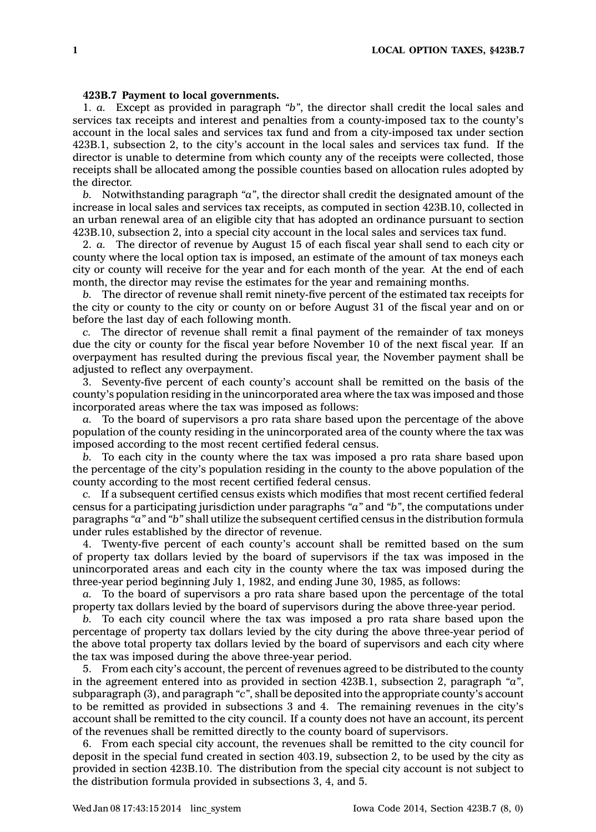## **423B.7 Payment to local governments.**

1. *a.* Except as provided in paragraph *"b"*, the director shall credit the local sales and services tax receipts and interest and penalties from <sup>a</sup> county-imposed tax to the county's account in the local sales and services tax fund and from <sup>a</sup> city-imposed tax under section 423B.1, subsection 2, to the city's account in the local sales and services tax fund. If the director is unable to determine from which county any of the receipts were collected, those receipts shall be allocated among the possible counties based on allocation rules adopted by the director.

*b.* Notwithstanding paragraph *"a"*, the director shall credit the designated amount of the increase in local sales and services tax receipts, as computed in section 423B.10, collected in an urban renewal area of an eligible city that has adopted an ordinance pursuant to section 423B.10, subsection 2, into <sup>a</sup> special city account in the local sales and services tax fund.

2. *a.* The director of revenue by August 15 of each fiscal year shall send to each city or county where the local option tax is imposed, an estimate of the amount of tax moneys each city or county will receive for the year and for each month of the year. At the end of each month, the director may revise the estimates for the year and remaining months.

*b.* The director of revenue shall remit ninety-five percent of the estimated tax receipts for the city or county to the city or county on or before August 31 of the fiscal year and on or before the last day of each following month.

*c.* The director of revenue shall remit <sup>a</sup> final payment of the remainder of tax moneys due the city or county for the fiscal year before November 10 of the next fiscal year. If an overpayment has resulted during the previous fiscal year, the November payment shall be adjusted to reflect any overpayment.

3. Seventy-five percent of each county's account shall be remitted on the basis of the county's population residing in the unincorporated area where the tax was imposed and those incorporated areas where the tax was imposed as follows:

*a.* To the board of supervisors <sup>a</sup> pro rata share based upon the percentage of the above population of the county residing in the unincorporated area of the county where the tax was imposed according to the most recent certified federal census.

*b.* To each city in the county where the tax was imposed <sup>a</sup> pro rata share based upon the percentage of the city's population residing in the county to the above population of the county according to the most recent certified federal census.

*c.* If <sup>a</sup> subsequent certified census exists which modifies that most recent certified federal census for <sup>a</sup> participating jurisdiction under paragraphs *"a"* and *"b"*, the computations under paragraphs *"a"* and *"b"* shall utilize the subsequent certified census in the distribution formula under rules established by the director of revenue.

4. Twenty-five percent of each county's account shall be remitted based on the sum of property tax dollars levied by the board of supervisors if the tax was imposed in the unincorporated areas and each city in the county where the tax was imposed during the three-year period beginning July 1, 1982, and ending June 30, 1985, as follows:

*a.* To the board of supervisors <sup>a</sup> pro rata share based upon the percentage of the total property tax dollars levied by the board of supervisors during the above three-year period.

*b.* To each city council where the tax was imposed <sup>a</sup> pro rata share based upon the percentage of property tax dollars levied by the city during the above three-year period of the above total property tax dollars levied by the board of supervisors and each city where the tax was imposed during the above three-year period.

5. From each city's account, the percent of revenues agreed to be distributed to the county in the agreement entered into as provided in section 423B.1, subsection 2, paragraph *"a"*, subparagraph (3), and paragraph *"c"*, shall be deposited into the appropriate county's account to be remitted as provided in subsections 3 and 4. The remaining revenues in the city's account shall be remitted to the city council. If <sup>a</sup> county does not have an account, its percent of the revenues shall be remitted directly to the county board of supervisors.

6. From each special city account, the revenues shall be remitted to the city council for deposit in the special fund created in section 403.19, subsection 2, to be used by the city as provided in section 423B.10. The distribution from the special city account is not subject to the distribution formula provided in subsections 3, 4, and 5.